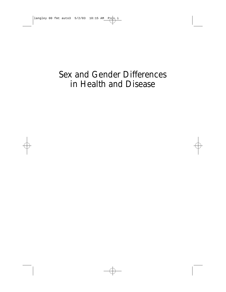# Sex and Gender Differences in Health and Disease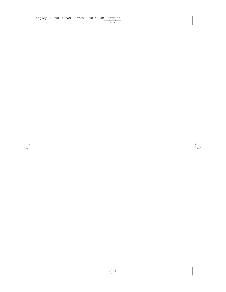| langley 00 fmt auto3  $5/2/03$  10:15 AM  $P(A \cap B)$  11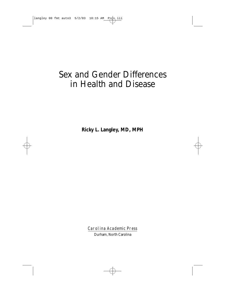# Sex and Gender Differences in Health and Disease

**Ricky L. Langley, MD, MPH**

Carolina Academic Press Durham, North Carolina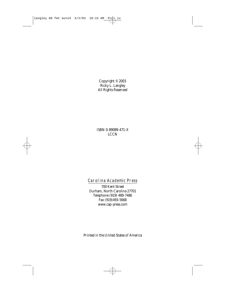langley 00 fmt auto3 5/2/03 10:15 AM  $P/4$ e iv

Copyright © 2003 Ricky L. Langley All Rights Reserved

ISBN 0-89089-471-X **LCCN** 

Carolina Academic Press

700 Kent Street Durham, North Carolina 27701 Telephone (919) 489-7486 Fax (919)493-5668 www.cap-press.com

Printed in the United States of America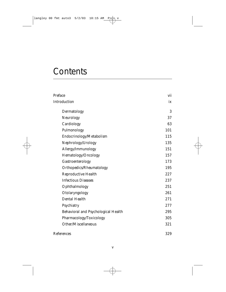# **Contents**

| Preface                             | vii |
|-------------------------------------|-----|
| Introduction                        | ix  |
| Dermatology                         | 3   |
| Neurology                           | 37  |
| Cardiology                          | 63  |
| Pulmonology                         | 101 |
| Endocrinology/Metabolism            | 115 |
| Nephrology/Urology                  | 135 |
| Allergy/Immunology                  | 151 |
| Hematology/Oncology                 | 157 |
| Gastroenterology                    | 173 |
| Orthopedics/Rheumatology            | 195 |
| <b>Reproductive Health</b>          | 227 |
| <b>Infectious Diseases</b>          | 237 |
| Ophthalmology                       | 251 |
| Otolaryngology                      | 261 |
| <b>Dental Health</b>                | 271 |
| Psychiatry                          | 277 |
| Behavioral and Psychological Health | 295 |
| Pharmacology/Toxicology             | 305 |
| Other/Miscellaneous                 | 321 |
| References                          | 329 |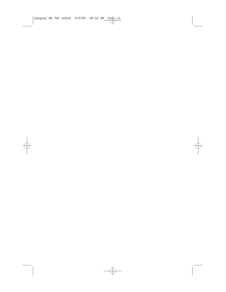| langley 00 fmt auto3 5/2/03 10:15 AM  $\frac{P}{4}$  vi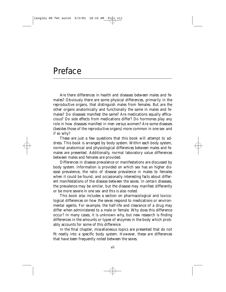## Preface

Are there differences in health and diseases between males and females? Obviously there are some physical differences, primarily in the reproductive organs, that distinguish males from females. But are the other organs anatomically and functionally the same in males and females? Do diseases manifest the same? Are medications equally efficacious? Do side effects from medications differ? Do hormones play any role in how diseases manifest in men versus women? Are some diseases (besides those of the reproductive organs) more common in one sex and if so why?

These are just a few questions that this book will attempt to address. This book is arranged by body system. Within each body system, normal anatomical and physiological differences between males and females are presented. Additionally, normal laboratory value differences between males and females are provided.

Differences in disease prevalence or manifestations are discussed by body system. Information is provided on which sex has an higher disease prevalence, the ratio of disease prevalence in males to females when it could be found, and occasionally interesting facts about different manifestations of the disease between the sexes. In certain diseases, the prevalence may be similar, but the disease may manifest differently or be more severe in one sex and this is also noted.

This book also includes a section on pharmacological and toxicological differences on how the sexes respond to medications or environmental agents. For example, the half-life and clearance of a drug may differ when administered to a male or female. Why does this difference occur? In many cases, it is unknown why, but new research is finding differences in the amounts or types of enzymes in the body which probably accounts for some of this difference.

In the final chapter, miscellaneous topics are presented that do not fit neatly into a specific body system. However, these are differences that have been frequently noted between the sexes.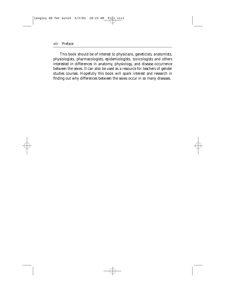#### viii Preface

This book should be of interest to physicians, geneticists, anatomists, physiologists, pharmacologists, epidemiologists, toxicologists and others interested in differences in anatomy, physiology, and disease occurrence between the sexes. It can also be used as a resource for teachers of gender studies courses. Hopefully this book will spark interest and research in finding out why differences between the sexes occur in so many diseases.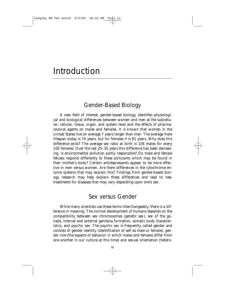## Introduction

## Gender-Based Biology

A new field of interest, gender-based biology, identifies physiological and biological differences between women and men at the subcellular, cellular, tissue, organ, and system level and the effects of pharmaceutical agents on males and females. It is known that women in the United States live on average 7 years longer than men. The average male lifespan today is 74 years, but for females it is 81 years. Why does this difference exist? The average sex ratio at birth is 106 males for every 100 females. Over the last 20–30 years this difference has been decreasing. Is environmental pollution partly responsible? Do male and female fetuses respond differently to these pollutants which may be found in their mother's body? Certain antidepressants appear to be more effective in men versus women. Are there differences in the cytochrome enzyme systems that may explain this? Findings from gender-based biology research may help explain these differences and lead to new treatments for diseases that may vary depending upon one's sex.

## Sex versus Gender

While many scientists use these terms interchangeably, there is a difference in meaning. The normal development of humans depends on the compatibility between sex chromosomes (genetic sex), sex of the gonads, internal and external genitalia formation, somatic body characteristics, and psychic sex. The psychic sex is frequently called gender and consists of gender identity (identification of self as male or female), gender role (the aspects of behavior in which males and females differ from one another in our culture at this time) and sexual orientation (hetero-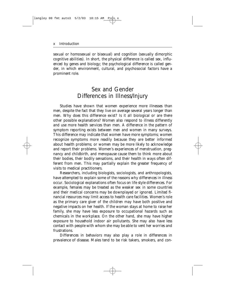#### x Introduction

sexual or homosexual or bisexual) and cognition (sexually dimorphic cognitive abilities). In short, the physical difference is called sex, influenced by genes and biology; the psychological difference is called gender, in which environment, cultural, and psychosocial factors have a prominent role.

## Sex and Gender Differences in Illness/Injury

Studies have shown that women experience more illnesses than men, despite the fact that they live on average several years longer than men. Why does this difference exist? Is it all biological or are there other possible explanations? Women also respond to illness differently and use more health services than men. A difference in the pattern of symptom reporting exists between men and women in many surveys. This difference may indicate that women have more symptoms; women recognize symptoms more readily because they are better informed about health problems; or women may be more likely to acknowledge and report their problems. Women's experiences of menstruation, pregnancy and childbirth, and menopause cause them to think more about their bodies, their bodily sensations, and their health in ways often different from men. This may partially explain the greater frequency of visits to medical practitioners.

Researchers, including biologists, sociologists, and ant h ropologists, have attempted to explain some of the reasons why differences in illness occur. Sociological explanations often focus on life style differences. For example, females may be treated as the weaker sex in some countries and their medical concerns may be downplayed or ignored. Limited financial resources may limit access to health care facilities. Women's role as the primary care giver of the children may have both positive and negative impacts on her health. If the woman stays at home to raise her family, she may have less exposure to occupational hazards such as chemicals in the workplace. On the other hand, she may have higher exposure to household indoor air pollutants. She may also have less contact with people with whom she may be able to vent her worries and frustrations.

Differences in behaviors may also play a role in differences in p revalence of disease. Males tend to be risk takers, smokers, and con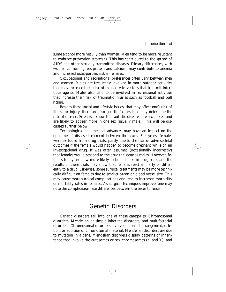sume alcohol more heavily than women. Men tend to be more reluctant to embrace prevention strategies. This has contributed to the spread of AIDS and other sexually transmitted diseases. Dietary differences, with women consuming less protein and calcium, may contribute to anemia and increased osteoporosis risk in females.

Occupational and recreational preferences often vary between men and women. Males are frequently involved in more outdoor activities that may increase their risk of exposure to vectors that transmit infectious agents. Males also tend to be involved in recreational activities that increase their risk of traumatic injuries such as football and bull riding.

Besides these social and lifestyle issues, that may affect one's risk of illness or injury, there are also genetic factors that may determine the risk of disease. Scientists know that autistic diseases are sex-linked and are likely to appear more in one sex (usually male). This will be discussed further below.

Technological and medical advances may have an impact on the outcome of disease treatment between the sexes. For years, females were excluded from drug trials, partly due to the fear of adverse fetal outcomes if the female would happen to become pregnant while on an investigational drug. It was often assumed (occasionally incorrectly) that females would respond to the drug the same as males. However, females today are now more likely to be included in drug trials and the results of these trials may show that females react similarly or differently to a drug. Likewise, some surgical treatments may be more technically difficult on females due to smaller organ or blood vessel size. This may cause more surgical complications and lead to increased morbidity or mortality rates in females. As surgical techniques improve, one may note the complication rate differences between the sexes to lessen.

### Genetic Disorders

Genetic disorders fall into one of these categories: Chromosomal disorders; Mendelian or simple inherited disorders; and multifactorial disorders. Chromosomal disorders involve abnormal arrangement, deletion, or addition of chromosomal material. Mendelian disorders are due to mutation in a gene. Mendelian disorders display patterns of inheritance that involve the autosomes or sex chromosomes (X and Y), and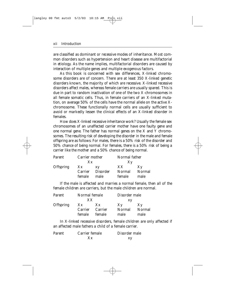#### xii Introduction

are classified as dominant or recessive modes of inheritance. Most common disorders such as hypertension and heart disease are multifactorial in etiology. As the name implies, multifactorial disorders are caused by interaction of multiple genes and multiple exogenous factors.

As this book is concerned with sex differences, X-linked chromosome disorders are of concern. There are at least 350 X-linked genetic disorders known, the majority of which are recessive. X-linked recessive disorders affect males, whereas female carriers are usually spared. This is due in part to random inactivation of one of the two  $X$ -chromosomes in all female somatic cells. Thus, in female carriers of an X-linked mutation, on average 50% of the cells have the normal allele on the active  $X$ chromosome. These functionally normal cells are usually sufficient to avoid or markedly lessen the clinical effects of an X-linked disorder in females.

How does X-linked recessive inheritance work? Usually the female sex chromosomes of an unaffected carrier mother have one faulty gene and one normal gene. The father has normal genes on the  $X$  and  $Y$  chromosomes. The resulting risk of developing the disorder in the male and female offspring are as follows: For males, there is a  $50\%$  risk of the disorder and 50% chance of being normal. For females, there is a 50% risk of being a carrier like the mother and a 50% chance of being normal.

| Parent           | Carrier mother<br>Xx |          | Normal father<br>$X_{V}$ |               |
|------------------|----------------------|----------|--------------------------|---------------|
|                  |                      |          |                          |               |
| <b>Offspring</b> | $X_{X}$              | XV       | XX                       | Xy            |
|                  | Carrier              | Disorder |                          | Normal Normal |
|                  | female               | male     | female                   | male          |

If the male is affected and marries a normal female, then all of the female children are carriers, but the male children are normal.

| Parent           | Normal female<br>ХX |                   | Disorder male<br>XV |                |
|------------------|---------------------|-------------------|---------------------|----------------|
|                  |                     |                   |                     |                |
| <b>Offspring</b> | $X_{X}$             | $X_{X}$           | $X_V$               | $X_V$          |
|                  | Carrier<br>female   | Carrier<br>female | Normal<br>male      | Normal<br>male |

In X-linked recessive disorders, female children are only affected if an affected male fathers a child of a female carrier.

| Parent | Carrier female | Disorder male |  |
|--------|----------------|---------------|--|
|        | $X_{X}$        | XV            |  |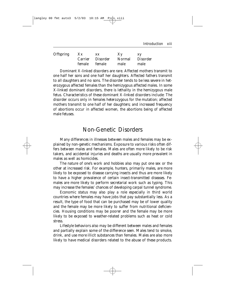| Offspring | $X_{X}$       | XX               | Xy              | XV   |
|-----------|---------------|------------------|-----------------|------|
|           |               | Carrier Disorder | Normal Disorder |      |
|           | female female |                  | male            | male |

Dominant X-linked disorders are rare. Affected mothers transmit to one half her sons and one half her daughters. Affected fathers transmit to all daughters and no sons. The disorder tends to be less severe in heterozygous affected females than the hemizygous affected males. In some X-linked dominant disorders, there is lethality in the hemizygous male fetus. Characteristics of these dominant X-linked disorders include: The disorder occurs only in females heterozygous for the mutation; affected mothers transmit to one half of her daughters; and increased frequency of abortions occur in affected women, the abortions being of affected male fetuses.

### Non-Genetic Disorders

Many differences in illnesses between males and females may be explained by non-genetic mechanisms. Exposure to various risks often differs between males and females. Males are often more likely to be risk takers, and accidental injuries and deaths are usually more prevalent in males as well as homicides.

The nature of one's work and hobbies also may put one sex or the other at increased risk. For example, hunters, primarily males, are more likely to be exposed to disease carrying insects and thus are more likely to have a higher prevalence of certain insect-transmitted diseases. Females are more likely to perform secretarial work such as typing. This may increase the females' chances of developing carpal tunnel syndrome.

Economic status may also play a role especially in third world countries where females may have jobs that pay substantially less. As a result, the type of food that can be purchased may be of lower quality and the female may be more likely to suffer from nutritional deficiencies. Housing conditions may be poorer and the female may be more likely to be exposed to weather- related problems such as heat or cold stress.

Lifestyle behaviors also may be different between males and females and partially explain some of the difference seen. Males tend to smoke, drink, and use more illicit substances than females. Males are also more likely to have medical disorders related to the abuse of these products.